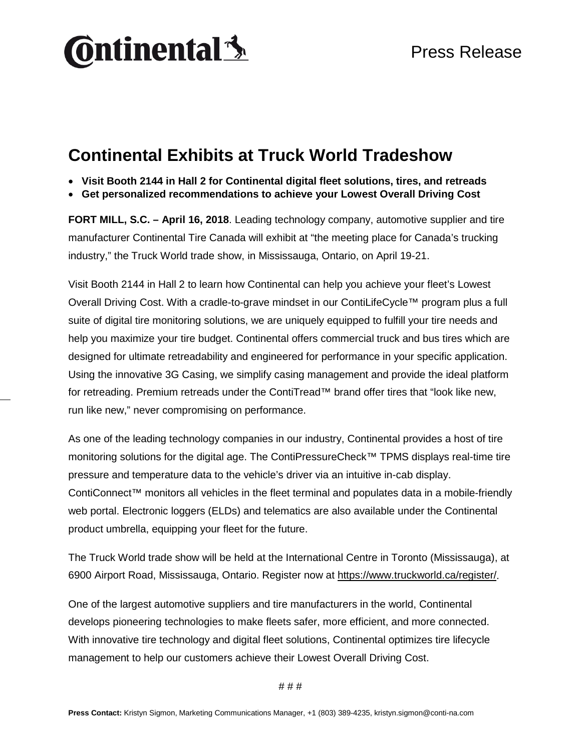

## **Continental Exhibits at Truck World Tradeshow**

- **Visit Booth 2144 in Hall 2 for Continental digital fleet solutions, tires, and retreads**
- **Get personalized recommendations to achieve your Lowest Overall Driving Cost**

**FORT MILL, S.C. – April 16, 2018**. Leading technology company, automotive supplier and tire manufacturer Continental Tire Canada will exhibit at "the meeting place for Canada's trucking industry," the Truck World trade show, in Mississauga, Ontario, on April 19-21.

Visit Booth 2144 in Hall 2 to learn how Continental can help you achieve your fleet's Lowest Overall Driving Cost. With a cradle-to-grave mindset in our ContiLifeCycle™ program plus a full suite of digital tire monitoring solutions, we are uniquely equipped to fulfill your tire needs and help you maximize your tire budget. Continental offers commercial truck and bus tires which are designed for ultimate retreadability and engineered for performance in your specific application. Using the innovative 3G Casing, we simplify casing management and provide the ideal platform for retreading. Premium retreads under the ContiTread™ brand offer tires that "look like new, run like new," never compromising on performance.

As one of the leading technology companies in our industry, Continental provides a host of tire monitoring solutions for the digital age. The ContiPressureCheck™ TPMS displays real-time tire pressure and temperature data to the vehicle's driver via an intuitive in-cab display. ContiConnect™ monitors all vehicles in the fleet terminal and populates data in a mobile-friendly web portal. Electronic loggers (ELDs) and telematics are also available under the Continental product umbrella, equipping your fleet for the future.

The Truck World trade show will be held at the International Centre in Toronto (Mississauga), at 6900 Airport Road, Mississauga, Ontario. Register now at [https://www.truckworld.ca/register/.](https://www.truckworld.ca/register/)

One of the largest automotive suppliers and tire manufacturers in the world, Continental develops pioneering technologies to make fleets safer, more efficient, and more connected. With innovative tire technology and digital fleet solutions, Continental optimizes tire lifecycle management to help our customers achieve their Lowest Overall Driving Cost.

# # #